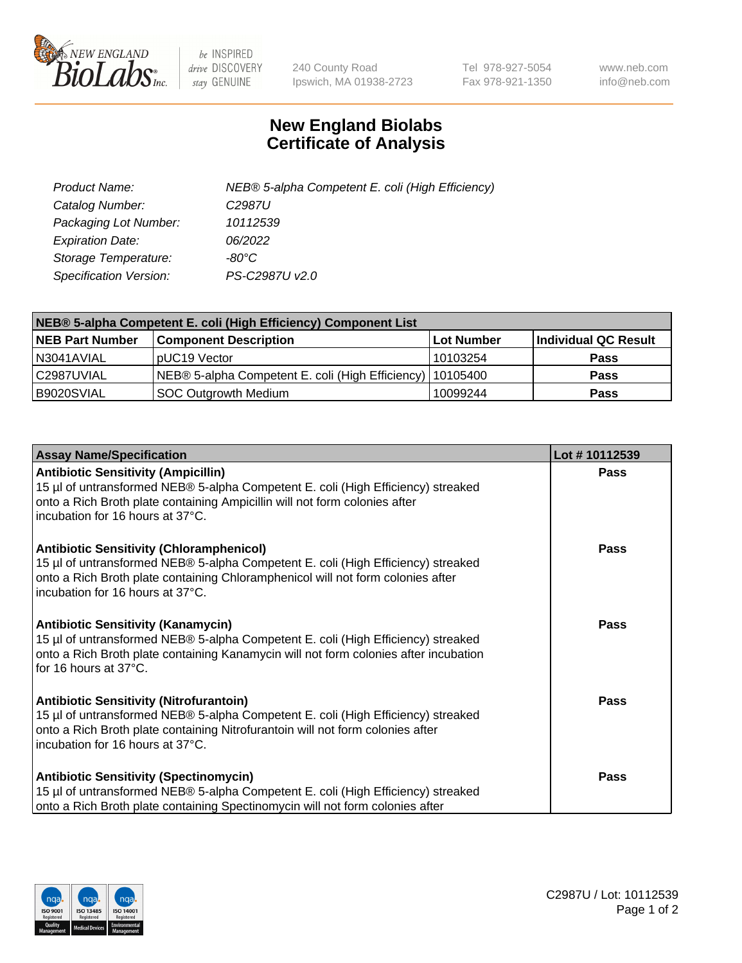

 $be$  INSPIRED drive DISCOVERY stay GENUINE

240 County Road Ipswich, MA 01938-2723 Tel 978-927-5054 Fax 978-921-1350 www.neb.com info@neb.com

## **New England Biolabs Certificate of Analysis**

| Product Name:                 | NEB® 5-alpha Competent E. coli (High Efficiency) |
|-------------------------------|--------------------------------------------------|
| Catalog Number:               | C <sub>2987</sub> U                              |
| Packaging Lot Number:         | 10112539                                         |
| <b>Expiration Date:</b>       | 06/2022                                          |
| Storage Temperature:          | -80°C                                            |
| <b>Specification Version:</b> | PS-C2987U v2.0                                   |

| NEB® 5-alpha Competent E. coli (High Efficiency) Component List |                                                             |            |                      |  |
|-----------------------------------------------------------------|-------------------------------------------------------------|------------|----------------------|--|
| <b>NEB Part Number</b>                                          | <b>Component Description</b>                                | Lot Number | Individual QC Result |  |
| N3041AVIAL                                                      | pUC19 Vector                                                | 10103254   | <b>Pass</b>          |  |
| C2987UVIAL                                                      | NEB® 5-alpha Competent E. coli (High Efficiency)   10105400 |            | <b>Pass</b>          |  |
| B9020SVIAL                                                      | <b>SOC Outgrowth Medium</b>                                 | 10099244   | <b>Pass</b>          |  |

| <b>Assay Name/Specification</b>                                                                                                                                                                                                                            | Lot #10112539 |
|------------------------------------------------------------------------------------------------------------------------------------------------------------------------------------------------------------------------------------------------------------|---------------|
| <b>Antibiotic Sensitivity (Ampicillin)</b><br>15 µl of untransformed NEB® 5-alpha Competent E. coli (High Efficiency) streaked<br>onto a Rich Broth plate containing Ampicillin will not form colonies after<br>incubation for 16 hours at 37°C.           | Pass          |
| <b>Antibiotic Sensitivity (Chloramphenicol)</b><br>15 µl of untransformed NEB® 5-alpha Competent E. coli (High Efficiency) streaked<br>onto a Rich Broth plate containing Chloramphenicol will not form colonies after<br>incubation for 16 hours at 37°C. | Pass          |
| <b>Antibiotic Sensitivity (Kanamycin)</b><br>15 µl of untransformed NEB® 5-alpha Competent E. coli (High Efficiency) streaked<br>onto a Rich Broth plate containing Kanamycin will not form colonies after incubation<br>for 16 hours at 37°C.             | Pass          |
| <b>Antibiotic Sensitivity (Nitrofurantoin)</b><br>15 µl of untransformed NEB® 5-alpha Competent E. coli (High Efficiency) streaked<br>onto a Rich Broth plate containing Nitrofurantoin will not form colonies after<br>incubation for 16 hours at 37°C.   | <b>Pass</b>   |
| <b>Antibiotic Sensitivity (Spectinomycin)</b><br>15 µl of untransformed NEB® 5-alpha Competent E. coli (High Efficiency) streaked<br>onto a Rich Broth plate containing Spectinomycin will not form colonies after                                         | Pass          |